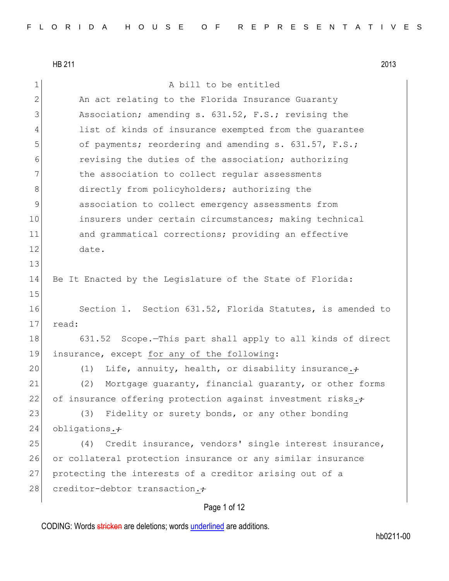13

15

1 a bill to be entitled 2 An act relating to the Florida Insurance Guaranty 3 Association; amending s. 631.52, F.S.; revising the 4 list of kinds of insurance exempted from the guarantee 5 of payments; reordering and amending s. 631.57, F.S.; 6 revising the duties of the association; authorizing 7 the association to collect regular assessments 8 directly from policyholders; authorizing the 9 association to collect emergency assessments from 10 insurers under certain circumstances; making technical 11 and grammatical corrections; providing an effective 12 date. 14 Be It Enacted by the Legislature of the State of Florida: 16 Section 1. Section 631.52, Florida Statutes, is amended to 17 read: 18 631.52 Scope.—This part shall apply to all kinds of direct 19 insurance, except for any of the following: 20 (1) Life, annuity, health, or disability insurance. $\div$ 21 (2) Mortgage guaranty, financial guaranty, or other forms 22 of insurance offering protection against investment risks. $\div$ 23 (3) Fidelity or surety bonds, or any other bonding 24 obligations. $\div$ 25 (4) Credit insurance, vendors' single interest insurance, 26 or collateral protection insurance or any similar insurance 27 protecting the interests of a creditor arising out of a 28 creditor-debtor transaction.

# Page 1 of 12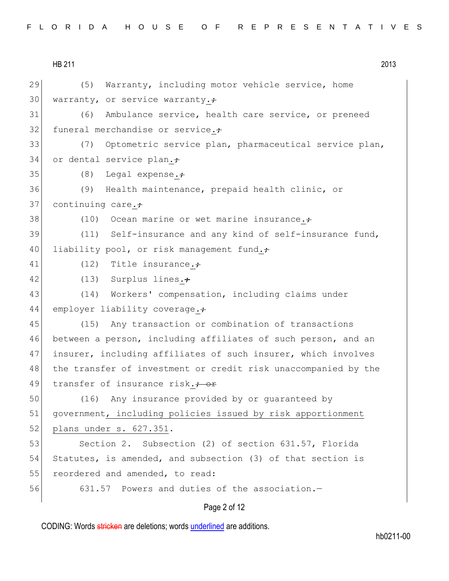| FLORIDA HOUSE OF REPRESENTATIVES |  |  |  |  |  |  |  |  |  |  |  |  |  |  |  |  |  |  |  |  |  |  |  |  |
|----------------------------------|--|--|--|--|--|--|--|--|--|--|--|--|--|--|--|--|--|--|--|--|--|--|--|--|
|----------------------------------|--|--|--|--|--|--|--|--|--|--|--|--|--|--|--|--|--|--|--|--|--|--|--|--|

HB 211 2013 29 (5) Warranty, including motor vehicle service, home 30 warranty, or service warranty. $\div$ 31 (6) Ambulance service, health care service, or preneed 32 funeral merchandise or service. $\div$ 33 (7) Optometric service plan, pharmaceutical service plan, 34 or dental service plan. $\div$ 35 (8) Legal expense. 36 (9) Health maintenance, prepaid health clinic, or 37 continuing care. $\div$ 38  $(10)$  Ocean marine or wet marine insurance. $\div$ 39 (11) Self-insurance and any kind of self-insurance fund, 40 liability pool, or risk management fund. 41 (12) Title insurance. 42 (13) Surplus lines. $\div$ 43 (14) Workers' compensation, including claims under 44 employer liability coverage. 45 (15) Any transaction or combination of transactions 46 between a person, including affiliates of such person, and an 47 insurer, including affiliates of such insurer, which involves 48 | the transfer of investment or credit risk unaccompanied by the 49 transfer of insurance risk.<del>; or</del> 50 (16) Any insurance provided by or guaranteed by 51 government, including policies issued by risk apportionment 52 plans under s. 627.351. 53 Section 2. Subsection (2) of section 631.57, Florida 54 Statutes, is amended, and subsection (3) of that section is 55 reordered and amended, to read: 56 631.57 Powers and duties of the association.-

### Page 2 of 12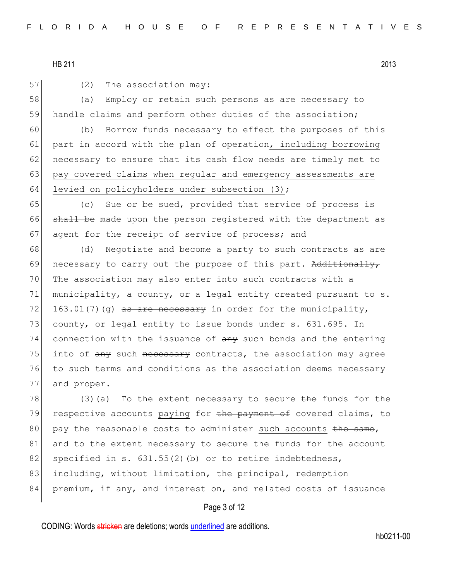57 (2) The association may:

58 (a) Employ or retain such persons as are necessary to 59 handle claims and perform other duties of the association;

60 (b) Borrow funds necessary to effect the purposes of this 61 part in accord with the plan of operation, including borrowing 62 necessary to ensure that its cash flow needs are timely met to 63 pay covered claims when regular and emergency assessments are 64 levied on policyholders under subsection  $(3)$ ;

65 (c) Sue or be sued, provided that service of process is 66 shall be made upon the person registered with the department as 67 agent for the receipt of service of process; and

68 (d) Negotiate and become a party to such contracts as are 69 necessary to carry out the purpose of this part. Additionally, 70 The association may also enter into such contracts with a 71 municipality, a county, or a legal entity created pursuant to  $s$ . 72 163.01(7)(q) as are necessary in order for the municipality, 73 county, or legal entity to issue bonds under s. 631.695. In  $74$  connection with the issuance of  $\frac{1}{2}$  such bonds and the entering 75 into of  $\frac{any}{any}$  such  $\frac{1}{3}$  necessary contracts, the association may agree 76 to such terms and conditions as the association deems necessary 77 and proper.

78 (3)(a) To the extent necessary to secure  $\frac{1}{2}$  the funds for the 79 respective accounts paying for the payment of covered claims, to 80 pay the reasonable costs to administer such accounts  $the$  same,  $81$  and to the extent necessary to secure the funds for the account 82 specified in s.  $631.55(2)$  (b) or to retire indebtedness, 83 including, without limitation, the principal, redemption 84 premium, if any, and interest on, and related costs of issuance

## Page 3 of 12

CODING: Words stricken are deletions; words underlined are additions.

hb0211-00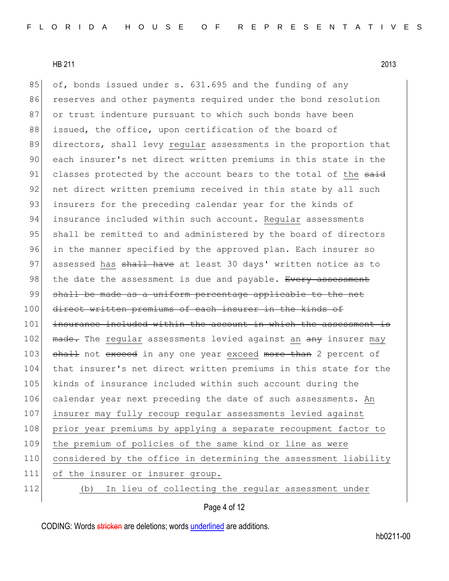85 of, bonds issued under s. 631.695 and the funding of any 86 reserves and other payments required under the bond resolution 87 or trust indenture pursuant to which such bonds have been 88 issued, the office, upon certification of the board of 89 directors, shall levy regular assessments in the proportion that 90 each insurer's net direct written premiums in this state in the 91 classes protected by the account bears to the total of the said 92 net direct written premiums received in this state by all such 93 insurers for the preceding calendar year for the kinds of 94 insurance included within such account. Reqular assessments 95 shall be remitted to and administered by the board of directors 96 in the manner specified by the approved plan. Each insurer so 97 assessed has shall have at least 30 days' written notice as to 98 the date the assessment is due and payable. Every assessment 99 shall be made as a uniform percentage applicable to the net 100 direct written premiums of each insurer in the kinds of 101 insurance included within the account in which the assessment is 102 made. The regular assessments levied against an any insurer may 103 shall not exceed in any one year exceed more than 2 percent of 104 that insurer's net direct written premiums in this state for the 105 kinds of insurance included within such account during the

106 calendar year next preceding the date of such assessments. An 107 insurer may fully recoup regular assessments levied against 108 prior year premiums by applying a separate recoupment factor to 109 the premium of policies of the same kind or line as were 110 considered by the office in determining the assessment liability 111 of the insurer or insurer group. 112 (b) In lieu of collecting the regular assessment under

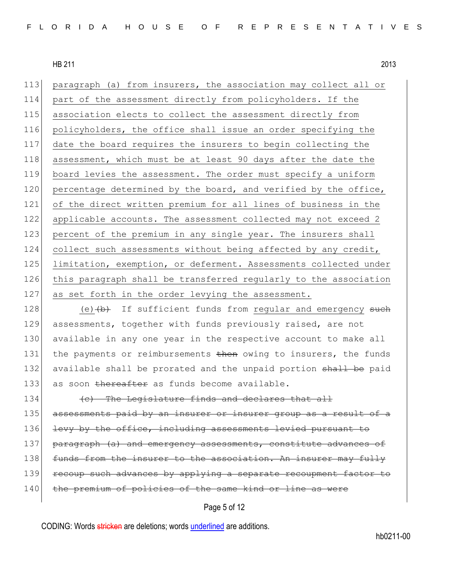paragraph (a) from insurers, the association may collect all or part of the assessment directly from policyholders. If the association elects to collect the assessment directly from policyholders, the office shall issue an order specifying the date the board requires the insurers to begin collecting the 118 assessment, which must be at least 90 days after the date the board levies the assessment. The order must specify a uniform 120 percentage determined by the board, and verified by the office, of the direct written premium for all lines of business in the applicable accounts. The assessment collected may not exceed 2 123 percent of the premium in any single year. The insurers shall collect such assessments without being affected by any credit, 125 limitation, exemption, or deferment. Assessments collected under this paragraph shall be transferred regularly to the association 127 as set forth in the order levying the assessment.

128 (e) (b) If sufficient funds from regular and emergency such 129 assessments, together with funds previously raised, are not 130 available in any one year in the respective account to make all 131 the payments or reimbursements then owing to insurers, the funds 132 available shall be prorated and the unpaid portion shall be paid 133 as soon thereafter as funds become available.

 $|134|$  (c) The Legislature finds and declares that all 135 assessments paid by an insurer or insurer group as a result of a 136 levy by the office, including assessments levied pursuant to 137 paragraph (a) and emergency assessments, constitute advances of 138 funds from the insurer to the association. An insurer may fully 139 recoup such advances by applying a separate recoupment factor to 140 the premium of policies of the same kind or line

## Page 5 of 12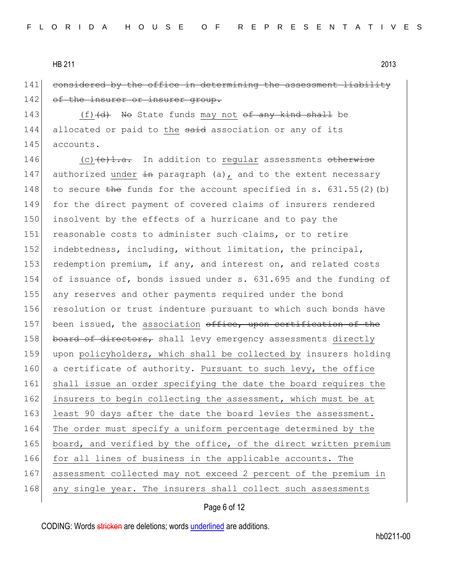141 considered by the office in determining the assessment liability 142 of the insurer or insurer group.

143  $(f)$   $(d)$  No State funds may not of any kind shall be 144 allocated or paid to the said association or any of its 145 accounts.

146  $(c)$  (c)  $\left(\frac{e}{1 \cdot a} \cdot \right)$  In addition to regular assessments otherwise 147 authorized under  $\pm n$  paragraph (a), and to the extent necessary 148 to secure the funds for the account specified in s.  $631.55(2)$  (b) 149 for the direct payment of covered claims of insurers rendered 150 insolvent by the effects of a hurricane and to pay the 151 reasonable costs to administer such claims, or to retire 152 indebtedness, including, without limitation, the principal, 153 redemption premium, if any, and interest on, and related costs 154 of issuance of, bonds issued under s. 631.695 and the funding of 155 any reserves and other payments required under the bond 156 resolution or trust indenture pursuant to which such bonds have 157 been issued, the association office, upon certification of the 158 board of directors, shall levy emergency assessments directly 159 upon policyholders, which shall be collected by insurers holding 160 a certificate of authority. Pursuant to such levy, the office 161 shall issue an order specifying the date the board requires the 162 insurers to begin collecting the assessment, which must be at 163 least 90 days after the date the board levies the assessment. 164 The order must specify a uniform percentage determined by the 165 board, and verified by the office, of the direct written premium 166 for all lines of business in the applicable accounts. The 167 assessment collected may not exceed 2 percent of the premium in 168 any single year. The insurers shall collect such assessments

### Page 6 of 12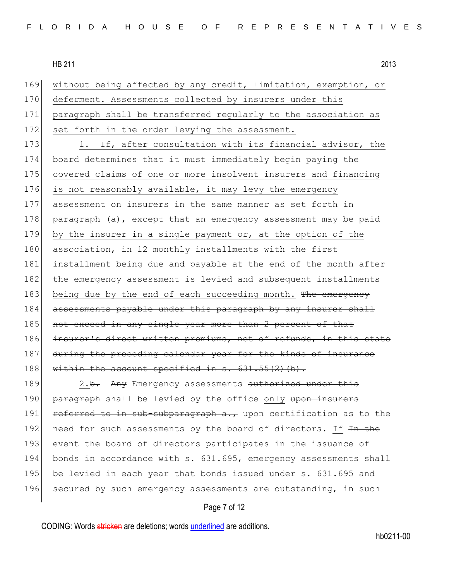169 without being affected by any credit, limitation, exemption, or 170 deferment. Assessments collected by insurers under this 171 paragraph shall be transferred regularly to the association as 172 set forth in the order levying the assessment.

173 1. If, after consultation with its financial advisor, the 174 board determines that it must immediately begin paying the 175 covered claims of one or more insolvent insurers and financing 176 is not reasonably available, it may levy the emergency 177 assessment on insurers in the same manner as set forth in 178 paragraph (a), except that an emergency assessment may be paid 179 by the insurer in a single payment or, at the option of the 180 association, in 12 monthly installments with the first 181 installment being due and payable at the end of the month after 182 the emergency assessment is levied and subsequent installments 183 being due by the end of each succeeding month. The emergency 184 assessments payable under this paragraph by any insurer shall 185 not exceed in any single year more than 2 percent of that 186 insurer's direct written premiums, net of refunds, in this state 187 during the preceding calendar year for the kinds of insurance 188 within the account specified in s.  $631.55(2)(b)$ .

189 2.<del>b.</del> Any Emergency assessments authorized under this 190 paragraph shall be levied by the office only upon insurers 191 referred to in sub-subparagraph a., upon certification as to the 192 need for such assessments by the board of directors. If  $\frac{1}{2}$  the 193 event the board of directors participates in the issuance of 194 bonds in accordance with s. 631.695, emergency assessments shall 195 be levied in each year that bonds issued under s. 631.695 and 196 secured by such emergency assessments are outstanding in such

## Page 7 of 12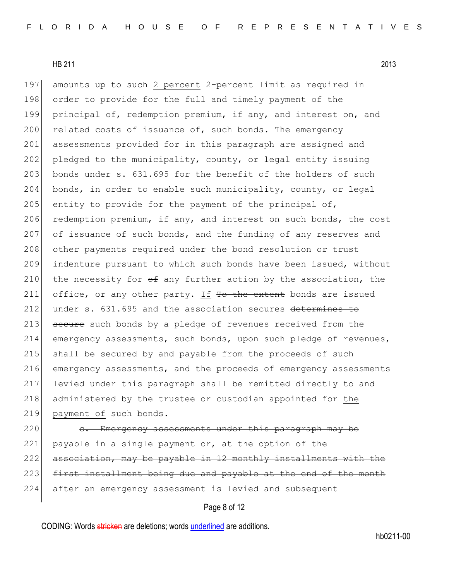197 amounts up to such 2 percent 2-percent limit as required in 198 order to provide for the full and timely payment of the 199 principal of, redemption premium, if any, and interest on, and 200 related costs of issuance of, such bonds. The emergency 201 assessments provided for in this paragraph are assigned and 202 pledged to the municipality, county, or legal entity issuing 203 bonds under s.  $631.695$  for the benefit of the holders of such 204 bonds, in order to enable such municipality, county, or legal 205 entity to provide for the payment of the principal of, 206 redemption premium, if any, and interest on such bonds, the cost 207 of issuance of such bonds, and the funding of any reserves and 208 other payments required under the bond resolution or trust 209 indenture pursuant to which such bonds have been issued, without 210 the necessity for  $\theta$  any further action by the association, the 211 office, or any other party. If To the extent bonds are issued 212 under s. 631.695 and the association secures determines to 213 secure such bonds by a pledge of revenues received from the 214 emergency assessments, such bonds, upon such pledge of revenues, 215 shall be secured by and payable from the proceeds of such 216 emergency assessments, and the proceeds of emergency assessments 217 levied under this paragraph shall be remitted directly to and 218 administered by the trustee or custodian appointed for the 219 payment of such bonds.

220 e. Emergency assessments under this paragraph may be 221 payable in a single payment or, at the option of the 222 association, may be payable in 12 monthly installments with the 223 first installment being due and payable at the end of the month 224 after an emergency assessment is levied and subsequent

# Page 8 of 12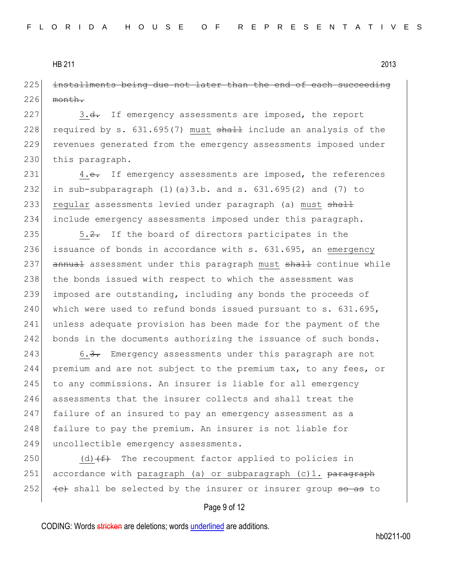225 installments being due not later than the end of each succeeding  $226$  month.

227 3.<del>d.</del> If emergency assessments are imposed, the report 228 required by s.  $631.695(7)$  must  $shall$  include an analysis of the 229 revenues generated from the emergency assessments imposed under 230 this paragraph.

231 4.e. If emergency assessments are imposed, the references 232 in sub-subparagraph  $(1)$   $(a)$  3.b. and s. 631.695 $(2)$  and  $(7)$  to 233 regular assessments levied under paragraph (a) must shall 234 include emergency assessments imposed under this paragraph.

235  $\sim$  5.2. If the board of directors participates in the 236 issuance of bonds in accordance with s. 631.695, an emergency 237 annual assessment under this paragraph must shall continue while 238 the bonds issued with respect to which the assessment was 239 imposed are outstanding, including any bonds the proceeds of  $240$  which were used to refund bonds issued pursuant to s. 631.695, 241 unless adequate provision has been made for the payment of the 242 bonds in the documents authorizing the issuance of such bonds.

243 6.3. Emergency assessments under this paragraph are not 244 premium and are not subject to the premium tax, to any fees, or 245 to any commissions. An insurer is liable for all emergency 246 assessments that the insurer collects and shall treat the 247 failure of an insured to pay an emergency assessment as a 248 failure to pay the premium. An insurer is not liable for 249 uncollectible emergency assessments.

250 (d)  $(f)$  The recoupment factor applied to policies in 251 accordance with paragraph (a) or subparagraph (c)1. paragraph 252  $\left(-e\right)$  shall be selected by the insurer or insurer group so as to

### Page 9 of 12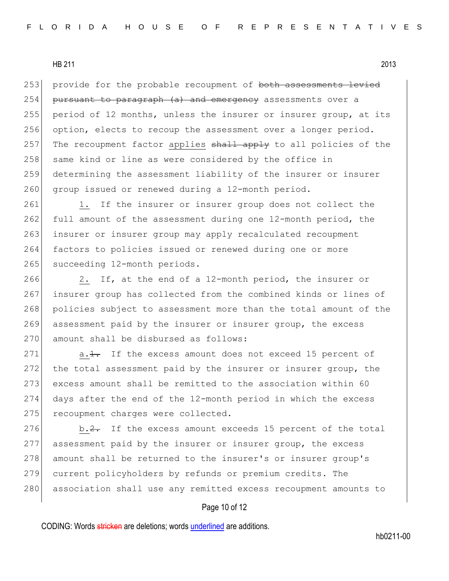253 provide for the probable recoupment of both assessments levied 254 pursuant to paragraph  $(a)$  and emergency assessments over a 255 period of 12 months, unless the insurer or insurer group, at its 256 option, elects to recoup the assessment over a longer period. 257 The recoupment factor applies shall apply to all policies of the 258 same kind or line as were considered by the office in 259 determining the assessment liability of the insurer or insurer 260 group issued or renewed during a 12-month period.

261 1. If the insurer or insurer group does not collect the 262 full amount of the assessment during one 12-month period, the 263 insurer or insurer group may apply recalculated recoupment 264 factors to policies issued or renewed during one or more 265 succeeding 12-month periods.

266 2. If, at the end of a 12-month period, the insurer or 267 insurer group has collected from the combined kinds or lines of 268 policies subject to assessment more than the total amount of the 269 assessment paid by the insurer or insurer group, the excess 270 amount shall be disbursed as follows:

271 a.<del>1.</del> If the excess amount does not exceed 15 percent of 272 the total assessment paid by the insurer or insurer group, the 273 excess amount shall be remitted to the association within 60 274 days after the end of the 12-month period in which the excess 275 recoupment charges were collected.

276 b.2. If the excess amount exceeds 15 percent of the total 277 assessment paid by the insurer or insurer group, the excess 278 amount shall be returned to the insurer's or insurer group's 279 current policyholders by refunds or premium credits. The 280 association shall use any remitted excess recoupment amounts to

## Page 10 of 12

CODING: Words stricken are deletions; words underlined are additions.

hb0211-00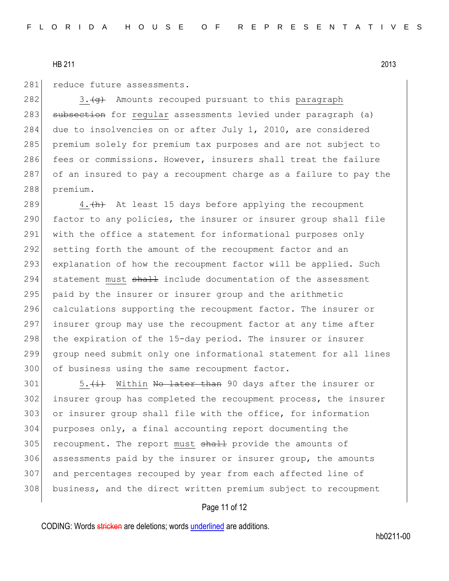281 reduce future assessments.

282 3. $\left\langle \varphi \right\rangle$  Amounts recouped pursuant to this paragraph 283 subsection for regular assessments levied under paragraph (a) 284 due to insolvencies on or after July 1, 2010, are considered 285 premium solely for premium tax purposes and are not subject to 286 fees or commissions. However, insurers shall treat the failure 287 of an insured to pay a recoupment charge as a failure to pay the 288 premium.

289  $\vert$  4.  $\vert$  4. At least 15 days before applying the recoupment 290 factor to any policies, the insurer or insurer group shall file 291 with the office a statement for informational purposes only 292 setting forth the amount of the recoupment factor and an 293 explanation of how the recoupment factor will be applied. Such 294 statement must shall include documentation of the assessment 295 paid by the insurer or insurer group and the arithmetic 296 calculations supporting the recoupment factor. The insurer or 297 insurer group may use the recoupment factor at any time after 298 the expiration of the 15-day period. The insurer or insurer 299 group need submit only one informational statement for all lines 300 of business using the same recoupment factor.

 $\vert$  5.  $\langle i \rangle$  Within No later than 90 days after the insurer or insurer group has completed the recoupment process, the insurer or insurer group shall file with the office, for information purposes only, a final accounting report documenting the 305 recoupment. The report must shall provide the amounts of assessments paid by the insurer or insurer group, the amounts and percentages recouped by year from each affected line of business, and the direct written premium subject to recoupment

## Page 11 of 12

CODING: Words stricken are deletions; words underlined are additions.

hb0211-00